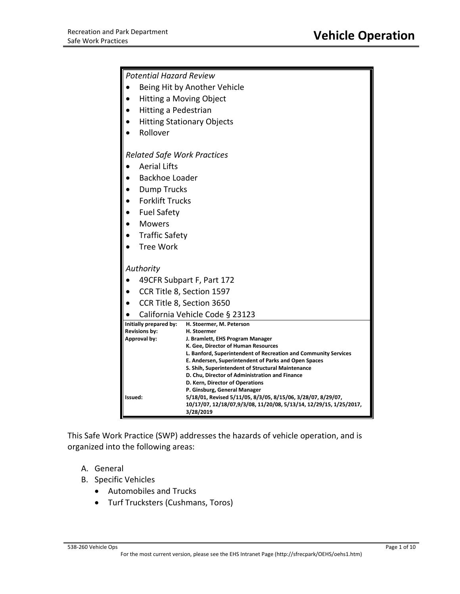| <b>Potential Hazard Review</b>       |                                                                                                                                    |  |
|--------------------------------------|------------------------------------------------------------------------------------------------------------------------------------|--|
| Being Hit by Another Vehicle         |                                                                                                                                    |  |
| <b>Hitting a Moving Object</b>       |                                                                                                                                    |  |
| Hitting a Pedestrian                 |                                                                                                                                    |  |
| <b>Hitting Stationary Objects</b>    |                                                                                                                                    |  |
| Rollover                             |                                                                                                                                    |  |
|                                      |                                                                                                                                    |  |
| <b>Related Safe Work Practices</b>   |                                                                                                                                    |  |
| <b>Aerial Lifts</b>                  |                                                                                                                                    |  |
| Backhoe Loader                       |                                                                                                                                    |  |
| <b>Dump Trucks</b>                   |                                                                                                                                    |  |
| <b>Forklift Trucks</b>               |                                                                                                                                    |  |
| <b>Fuel Safety</b>                   |                                                                                                                                    |  |
| <b>Mowers</b>                        |                                                                                                                                    |  |
| <b>Traffic Safety</b>                |                                                                                                                                    |  |
| <b>Tree Work</b>                     |                                                                                                                                    |  |
| Authority                            |                                                                                                                                    |  |
| 49CFR Subpart F, Part 172            |                                                                                                                                    |  |
| CCR Title 8, Section 1597            |                                                                                                                                    |  |
| CCR Title 8, Section 3650            |                                                                                                                                    |  |
| California Vehicle Code § 23123      |                                                                                                                                    |  |
| Initially prepared by:               | H. Stoermer, M. Peterson                                                                                                           |  |
| <b>Revisions by:</b><br>Approval by: | H. Stoermer<br>J. Bramlett, EHS Program Manager                                                                                    |  |
|                                      | K. Gee, Director of Human Resources                                                                                                |  |
|                                      | L. Banford, Superintendent of Recreation and Community Services<br>E. Andersen, Superintendent of Parks and Open Spaces            |  |
|                                      | S. Shih, Superintendent of Structural Maintenance                                                                                  |  |
|                                      | D. Chu, Director of Administration and Finance<br>D. Kern, Director of Operations                                                  |  |
|                                      | P. Ginsburg, General Manager                                                                                                       |  |
| Issued:                              | 5/18/01, Revised 5/11/05, 8/3/05, 8/15/06, 3/28/07, 8/29/07,<br>10/17/07, 12/18/07,9/3/08, 11/20/08, 5/13/14, 12/29/15, 1/25/2017, |  |
|                                      | 3/28/2019                                                                                                                          |  |

This Safe Work Practice (SWP) addresses the hazards of vehicle operation, and is organized into the following areas:

- A. General
- B. Specific Vehicles
	- Automobiles and Trucks
	- Turf Trucksters (Cushmans, Toros)

### 538-260 Vehicle Ops Page 1 of 10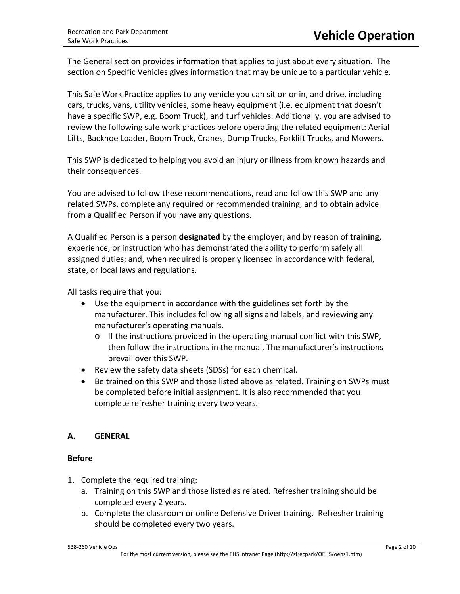The General section provides information that applies to just about every situation. The section on Specific Vehicles gives information that may be unique to a particular vehicle.

This Safe Work Practice applies to any vehicle you can sit on or in, and drive, including cars, trucks, vans, utility vehicles, some heavy equipment (i.e. equipment that doesn't have a specific SWP, e.g. Boom Truck), and turf vehicles. Additionally, you are advised to review the following safe work practices before operating the related equipment: Aerial Lifts, Backhoe Loader, Boom Truck, Cranes, Dump Trucks, Forklift Trucks, and Mowers.

This SWP is dedicated to helping you avoid an injury or illness from known hazards and their consequences.

You are advised to follow these recommendations, read and follow this SWP and any related SWPs, complete any required or recommended training, and to obtain advice from a Qualified Person if you have any questions.

A Qualified Person is a person **designated** by the employer; and by reason of **training**, experience, or instruction who has demonstrated the ability to perform safely all assigned duties; and, when required is properly licensed in accordance with federal, state, or local laws and regulations.

All tasks require that you:

- Use the equipment in accordance with the guidelines set forth by the manufacturer. This includes following all signs and labels, and reviewing any manufacturer's operating manuals.
	- o If the instructions provided in the operating manual conflict with this SWP, then follow the instructions in the manual. The manufacturer's instructions prevail over this SWP.
- Review the safety data sheets (SDSs) for each chemical.
- Be trained on this SWP and those listed above as related. Training on SWPs must be completed before initial assignment. It is also recommended that you complete refresher training every two years.

# **A. GENERAL**

# **Before**

- 1. Complete the required training:
	- a. Training on this SWP and those listed as related. Refresher training should be completed every 2 years.
	- b. Complete the classroom or online Defensive Driver training. Refresher training should be completed every two years.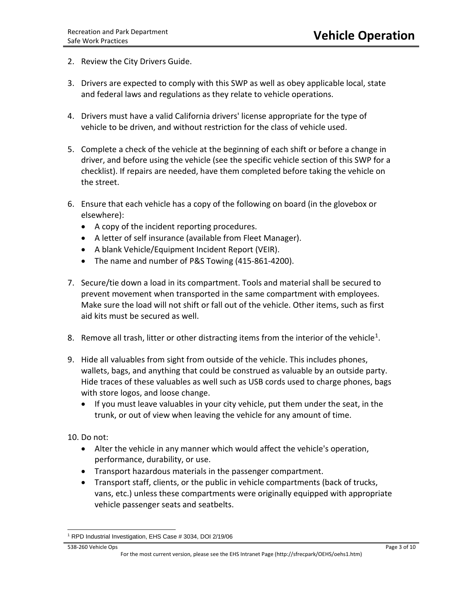- 2. Review the City Drivers Guide.
- 3. Drivers are expected to comply with this SWP as well as obey applicable local, state and federal laws and regulations as they relate to vehicle operations.
- 4. Drivers must have a valid California drivers' license appropriate for the type of vehicle to be driven, and without restriction for the class of vehicle used.
- 5. Complete a check of the vehicle at the beginning of each shift or before a change in driver, and before using the vehicle (see the specific vehicle section of this SWP for a checklist). If repairs are needed, have them completed before taking the vehicle on the street.
- 6. Ensure that each vehicle has a copy of the following on board (in the glovebox or elsewhere):
	- A copy of the incident reporting procedures.
	- A letter of self insurance (available from Fleet Manager).
	- A blank Vehicle/Equipment Incident Report (VEIR).
	- The name and number of P&S Towing (415-861-4200).
- 7. Secure/tie down a load in its compartment. Tools and material shall be secured to prevent movement when transported in the same compartment with employees. Make sure the load will not shift or fall out of the vehicle. Other items, such as first aid kits must be secured as well.
- 8. Remove all trash, litter or other distracting items from the interior of the vehicle<sup>1</sup>.
- 9. Hide all valuables from sight from outside of the vehicle. This includes phones, wallets, bags, and anything that could be construed as valuable by an outside party. Hide traces of these valuables as well such as USB cords used to charge phones, bags with store logos, and loose change.
	- If you must leave valuables in your city vehicle, put them under the seat, in the trunk, or out of view when leaving the vehicle for any amount of time.

10. Do not:

- Alter the vehicle in any manner which would affect the vehicle's operation, performance, durability, or use.
- Transport hazardous materials in the passenger compartment.
- Transport staff, clients, or the public in vehicle compartments (back of trucks, vans, etc.) unless these compartments were originally equipped with appropriate vehicle passenger seats and seatbelts.

 $\overline{a}$ <sup>1</sup> RPD Industrial Investigation, EHS Case # 3034, DOI 2/19/06

<span id="page-2-0"></span><sup>538-260</sup> Vehicle Ops Page 3 of 10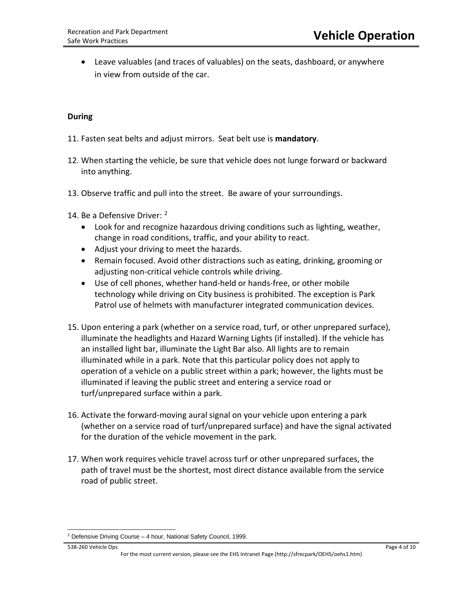• Leave valuables (and traces of valuables) on the seats, dashboard, or anywhere in view from outside of the car.

## **During**

- 11. Fasten seat belts and adjust mirrors. Seat belt use is **mandatory**.
- 12. When starting the vehicle, be sure that vehicle does not lunge forward or backward into anything.
- 13. Observe traffic and pull into the street. Be aware of your surroundings.
- 14. Be a Defensive Driver: <sup>[2](#page-3-0)</sup>
	- Look for and recognize hazardous driving conditions such as lighting, weather, change in road conditions, traffic, and your ability to react.
	- Adjust your driving to meet the hazards.
	- Remain focused. Avoid other distractions such as eating, drinking, grooming or adjusting non-critical vehicle controls while driving.
	- Use of cell phones, whether hand-held or hands-free, or other mobile technology while driving on City business is prohibited. The exception is Park Patrol use of helmets with manufacturer integrated communication devices.
- 15. Upon entering a park (whether on a service road, turf, or other unprepared surface), illuminate the headlights and Hazard Warning Lights (if installed). If the vehicle has an installed light bar, illuminate the Light Bar also. All lights are to remain illuminated while in a park. Note that this particular policy does not apply to operation of a vehicle on a public street within a park; however, the lights must be illuminated if leaving the public street and entering a service road or turf/unprepared surface within a park.
- 16. Activate the forward-moving aural signal on your vehicle upon entering a park (whether on a service road of turf/unprepared surface) and have the signal activated for the duration of the vehicle movement in the park.
- 17. When work requires vehicle travel across turf or other unprepared surfaces, the path of travel must be the shortest, most direct distance available from the service road of public street.

538-260 Vehicle Ops Page 4 of 10

<span id="page-3-0"></span> $\overline{a}$  $2$  Defensive Driving Course – 4 hour, National Safety Council, 1999.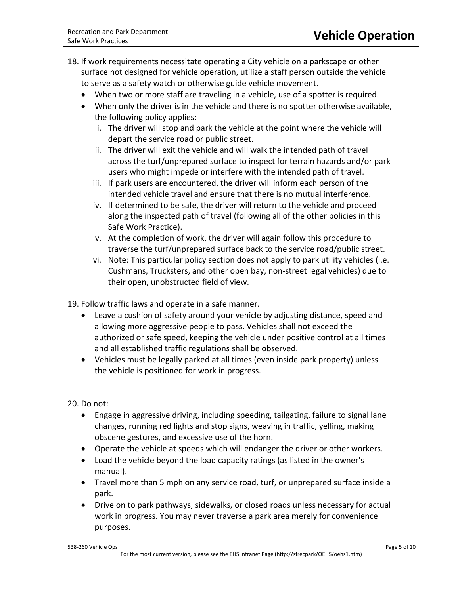- 18. If work requirements necessitate operating a City vehicle on a parkscape or other surface not designed for vehicle operation, utilize a staff person outside the vehicle to serve as a safety watch or otherwise guide vehicle movement.
	- When two or more staff are traveling in a vehicle, use of a spotter is required.
	- When only the driver is in the vehicle and there is no spotter otherwise available, the following policy applies:
		- i. The driver will stop and park the vehicle at the point where the vehicle will depart the service road or public street.
		- ii. The driver will exit the vehicle and will walk the intended path of travel across the turf/unprepared surface to inspect for terrain hazards and/or park users who might impede or interfere with the intended path of travel.
		- iii. If park users are encountered, the driver will inform each person of the intended vehicle travel and ensure that there is no mutual interference.
		- iv. If determined to be safe, the driver will return to the vehicle and proceed along the inspected path of travel (following all of the other policies in this Safe Work Practice).
		- v. At the completion of work, the driver will again follow this procedure to traverse the turf/unprepared surface back to the service road/public street.
		- vi. Note: This particular policy section does not apply to park utility vehicles (i.e. Cushmans, Trucksters, and other open bay, non-street legal vehicles) due to their open, unobstructed field of view.

19. Follow traffic laws and operate in a safe manner.

- Leave a cushion of safety around your vehicle by adjusting distance, speed and allowing more aggressive people to pass. Vehicles shall not exceed the authorized or safe speed, keeping the vehicle under positive control at all times and all established traffic regulations shall be observed.
- Vehicles must be legally parked at all times (even inside park property) unless the vehicle is positioned for work in progress.

20. Do not:

- Engage in aggressive driving, including speeding, tailgating, failure to signal lane changes, running red lights and stop signs, weaving in traffic, yelling, making obscene gestures, and excessive use of the horn.
- Operate the vehicle at speeds which will endanger the driver or other workers.
- Load the vehicle beyond the load capacity ratings (as listed in the owner's manual).
- Travel more than 5 mph on any service road, turf, or unprepared surface inside a park.
- Drive on to park pathways, sidewalks, or closed roads unless necessary for actual work in progress. You may never traverse a park area merely for convenience purposes.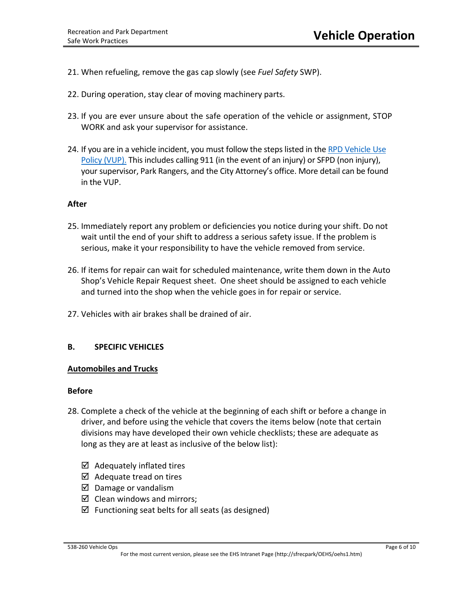- 21. When refueling, remove the gas cap slowly (see *Fuel Safety* SWP).
- 22. During operation, stay clear of moving machinery parts.
- 23. If you are ever unsure about the safe operation of the vehicle or assignment, STOP WORK and ask your supervisor for assistance.
- 24. If you are in a vehicle incident, you must follow the steps listed in the RPD Vehicle Use Policy [\(VUP\).](http://rpd-vm-web01/sfrecpark/wp-content/uploads/GM-DIRECTIVE-19-01-DEPARTMENTAL-VEHICLE-USE-POLICY-3-2019.pdf) This includes calling 911 (in the event of an injury) or SFPD (non injury), your supervisor, Park Rangers, and the City Attorney's office. More detail can be found in the VUP.

## **After**

- 25. Immediately report any problem or deficiencies you notice during your shift. Do not wait until the end of your shift to address a serious safety issue. If the problem is serious, make it your responsibility to have the vehicle removed from service.
- 26. If items for repair can wait for scheduled maintenance, write them down in the Auto Shop's Vehicle Repair Request sheet. One sheet should be assigned to each vehicle and turned into the shop when the vehicle goes in for repair or service.
- 27. Vehicles with air brakes shall be drained of air.

## **B. SPECIFIC VEHICLES**

### **Automobiles and Trucks**

### **Before**

- 28. Complete a check of the vehicle at the beginning of each shift or before a change in driver, and before using the vehicle that covers the items below (note that certain divisions may have developed their own vehicle checklists; these are adequate as long as they are at least as inclusive of the below list):
	- $\boxtimes$  Adequately inflated tires
	- $\boxtimes$  Adequate tread on tires
	- $\boxtimes$  Damage or vandalism
	- $\boxtimes$  Clean windows and mirrors;
	- $\boxtimes$  Functioning seat belts for all seats (as designed)

#### 538-260 Vehicle Ops Page 6 of 10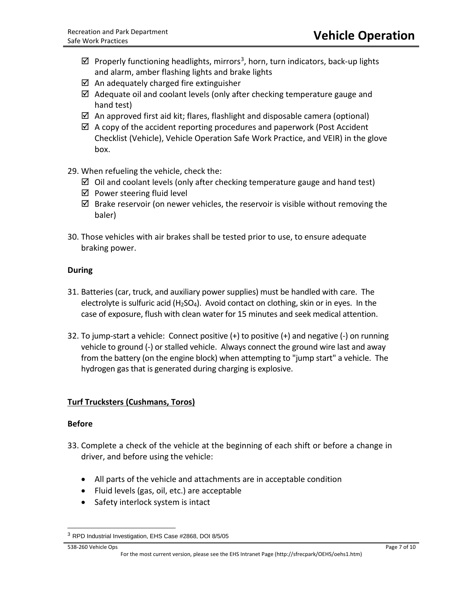- $\boxtimes$  Properly functioning headlights, mirrors<sup>3</sup>, horn, turn indicators, back-up lights and alarm, amber flashing lights and brake lights
- $\boxtimes$  An adequately charged fire extinguisher
- $\boxtimes$  Adequate oil and coolant levels (only after checking temperature gauge and hand test)
- $\boxtimes$  An approved first aid kit; flares, flashlight and disposable camera (optional)
- $\boxtimes$  A copy of the accident reporting procedures and paperwork (Post Accident Checklist (Vehicle), Vehicle Operation Safe Work Practice, and VEIR) in the glove box.
- 29. When refueling the vehicle, check the:
	- $\boxtimes$  Oil and coolant levels (only after checking temperature gauge and hand test)
	- $\boxtimes$  Power steering fluid level
	- $\boxtimes$  Brake reservoir (on newer vehicles, the reservoir is visible without removing the baler)
- 30. Those vehicles with air brakes shall be tested prior to use, to ensure adequate braking power.

# **During**

- 31. Batteries (car, truck, and auxiliary power supplies) must be handled with care. The electrolyte is sulfuric acid  $(H<sub>2</sub>SO<sub>4</sub>)$ . Avoid contact on clothing, skin or in eyes. In the case of exposure, flush with clean water for 15 minutes and seek medical attention.
- 32. To jump-start a vehicle: Connect positive (+) to positive (+) and negative (-) on running vehicle to ground (-) or stalled vehicle. Always connect the ground wire last and away from the battery (on the engine block) when attempting to "jump start" a vehicle. The hydrogen gas that is generated during charging is explosive.

# **Turf Trucksters (Cushmans, Toros)**

## **Before**

- 33. Complete a check of the vehicle at the beginning of each shift or before a change in driver, and before using the vehicle:
	- All parts of the vehicle and attachments are in acceptable condition
	- Fluid levels (gas, oil, etc.) are acceptable
	- Safety interlock system is intact

538-260 Vehicle Ops Page 7 of 10

 $\overline{a}$ 

<span id="page-6-0"></span><sup>3</sup> RPD Industrial Investigation, EHS Case #2868, DOI 8/5/05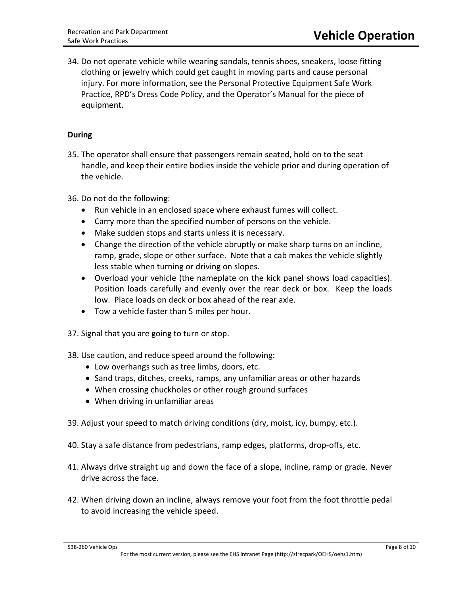34. Do not operate vehicle while wearing sandals, tennis shoes, sneakers, loose fitting clothing or jewelry which could get caught in moving parts and cause personal injury. For more information, see the Personal Protective Equipment Safe Work Practice, RPD's Dress Code Policy, and the Operator's Manual for the piece of equipment.

## **During**

35. The operator shall ensure that passengers remain seated, hold on to the seat handle, and keep their entire bodies inside the vehicle prior and during operation of the vehicle.

36. Do not do the following:

- Run vehicle in an enclosed space where exhaust fumes will collect.
- Carry more than the specified number of persons on the vehicle.
- Make sudden stops and starts unless it is necessary.
- Change the direction of the vehicle abruptly or make sharp turns on an incline, ramp, grade, slope or other surface. Note that a cab makes the vehicle slightly less stable when turning or driving on slopes.
- Overload your vehicle (the nameplate on the kick panel shows load capacities). Position loads carefully and evenly over the rear deck or box. Keep the loads low. Place loads on deck or box ahead of the rear axle.
- Tow a vehicle faster than 5 miles per hour.
- 37. Signal that you are going to turn or stop.
- 38. Use caution, and reduce speed around the following:
	- Low overhangs such as tree limbs, doors, etc.
	- Sand traps, ditches, creeks, ramps, any unfamiliar areas or other hazards
	- When crossing chuckholes or other rough ground surfaces
	- When driving in unfamiliar areas
- 39. Adjust your speed to match driving conditions (dry, moist, icy, bumpy, etc.).
- 40. Stay a safe distance from pedestrians, ramp edges, platforms, drop-offs, etc.
- 41. Always drive straight up and down the face of a slope, incline, ramp or grade. Never drive across the face.
- 42. When driving down an incline, always remove your foot from the foot throttle pedal to avoid increasing the vehicle speed.

### 538-260 Vehicle Ops Page 8 of 10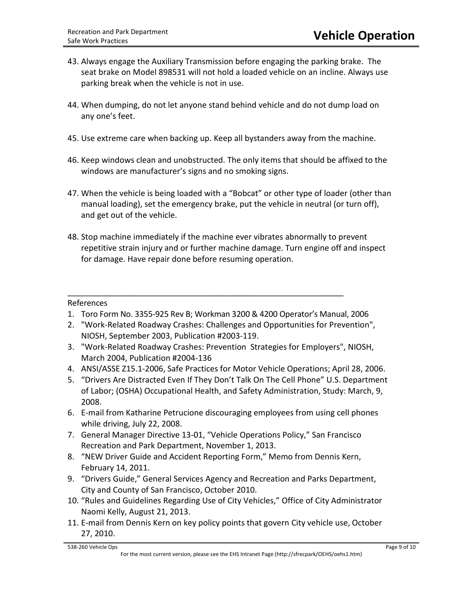- 43. Always engage the Auxiliary Transmission before engaging the parking brake. The seat brake on Model 898531 will not hold a loaded vehicle on an incline. Always use parking break when the vehicle is not in use.
- 44. When dumping, do not let anyone stand behind vehicle and do not dump load on any one's feet.
- 45. Use extreme care when backing up. Keep all bystanders away from the machine.
- 46. Keep windows clean and unobstructed. The only items that should be affixed to the windows are manufacturer's signs and no smoking signs.
- 47. When the vehicle is being loaded with a "Bobcat" or other type of loader (other than manual loading), set the emergency brake, put the vehicle in neutral (or turn off), and get out of the vehicle.
- 48. Stop machine immediately if the machine ever vibrates abnormally to prevent repetitive strain injury and or further machine damage. Turn engine off and inspect for damage. Have repair done before resuming operation.

# References

1. Toro Form No. 3355-925 Rev B; Workman 3200 & 4200 Operator's Manual, 2006

\_\_\_\_\_\_\_\_\_\_\_\_\_\_\_\_\_\_\_\_\_\_\_\_\_\_\_\_\_\_\_\_\_\_\_\_\_\_\_\_\_\_\_\_\_\_\_\_\_\_\_\_\_\_\_\_\_\_\_\_\_\_\_

- 2. "Work-Related Roadway Crashes: Challenges and Opportunities for Prevention", NIOSH, September 2003, Publication #2003-119.
- 3. "Work-Related Roadway Crashes: Prevention Strategies for Employers", NIOSH, March 2004, Publication #2004-136
- 4. ANSI/ASSE Z15.1-2006, Safe Practices for Motor Vehicle Operations; April 28, 2006.
- 5. "Drivers Are Distracted Even If They Don't Talk On The Cell Phone" U.S. Department of Labor; (OSHA) Occupational Health, and Safety Administration, Study: March, 9, 2008.
- 6. E-mail from Katharine Petrucione discouraging employees from using cell phones while driving, July 22, 2008.
- 7. General Manager Directive 13-01, "Vehicle Operations Policy," San Francisco Recreation and Park Department, November 1, 2013.
- 8. "NEW Driver Guide and Accident Reporting Form," Memo from Dennis Kern, February 14, 2011.
- 9. "Drivers Guide," General Services Agency and Recreation and Parks Department, City and County of San Francisco, October 2010.
- 10. "Rules and Guidelines Regarding Use of City Vehicles," Office of City Administrator Naomi Kelly, August 21, 2013.
- 11. E-mail from Dennis Kern on key policy points that govern City vehicle use, October 27, 2010.